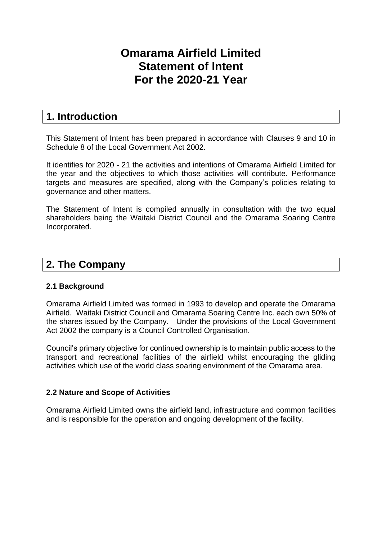# **Omarama Airfield Limited Statement of Intent For the 2020-21 Year**

## **1. Introduction**

This Statement of Intent has been prepared in accordance with Clauses 9 and 10 in Schedule 8 of the Local Government Act 2002.

It identifies for 2020 - 21 the activities and intentions of Omarama Airfield Limited for the year and the objectives to which those activities will contribute. Performance targets and measures are specified, along with the Company's policies relating to governance and other matters.

The Statement of Intent is compiled annually in consultation with the two equal shareholders being the Waitaki District Council and the Omarama Soaring Centre Incorporated.

## **2. The Company**

## **2.1 Background**

Omarama Airfield Limited was formed in 1993 to develop and operate the Omarama Airfield. Waitaki District Council and Omarama Soaring Centre Inc. each own 50% of the shares issued by the Company. Under the provisions of the Local Government Act 2002 the company is a Council Controlled Organisation.

Council's primary objective for continued ownership is to maintain public access to the transport and recreational facilities of the airfield whilst encouraging the gliding activities which use of the world class soaring environment of the Omarama area.

## **2.2 Nature and Scope of Activities**

Omarama Airfield Limited owns the airfield land, infrastructure and common facilities and is responsible for the operation and ongoing development of the facility.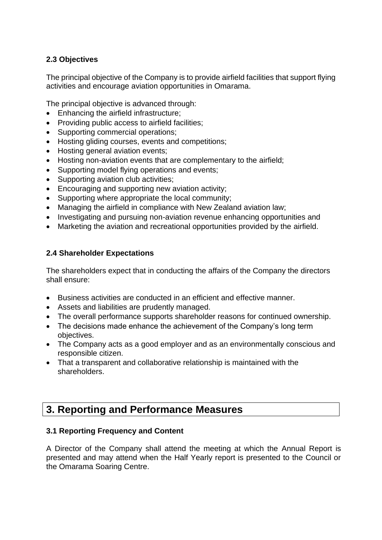## **2.3 Objectives**

The principal objective of the Company is to provide airfield facilities that support flying activities and encourage aviation opportunities in Omarama.

The principal objective is advanced through:

- Enhancing the airfield infrastructure;
- Providing public access to airfield facilities;
- Supporting commercial operations;
- Hosting gliding courses, events and competitions;
- Hosting general aviation events:
- Hosting non-aviation events that are complementary to the airfield;
- Supporting model flying operations and events;
- Supporting aviation club activities:
- Encouraging and supporting new aviation activity;
- Supporting where appropriate the local community;
- Managing the airfield in compliance with New Zealand aviation law;
- Investigating and pursuing non-aviation revenue enhancing opportunities and
- Marketing the aviation and recreational opportunities provided by the airfield.

## **2.4 Shareholder Expectations**

The shareholders expect that in conducting the affairs of the Company the directors shall ensure:

- Business activities are conducted in an efficient and effective manner.
- Assets and liabilities are prudently managed.
- The overall performance supports shareholder reasons for continued ownership.
- The decisions made enhance the achievement of the Company's long term objectives.
- The Company acts as a good employer and as an environmentally conscious and responsible citizen.
- That a transparent and collaborative relationship is maintained with the shareholders.

## **3. Reporting and Performance Measures**

## **3.1 Reporting Frequency and Content**

A Director of the Company shall attend the meeting at which the Annual Report is presented and may attend when the Half Yearly report is presented to the Council or the Omarama Soaring Centre.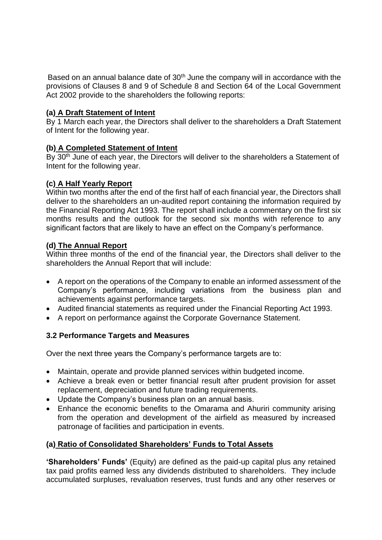Based on an annual balance date of  $30<sup>th</sup>$  June the company will in accordance with the provisions of Clauses 8 and 9 of Schedule 8 and Section 64 of the Local Government Act 2002 provide to the shareholders the following reports:

#### **(a) A Draft Statement of Intent**

By 1 March each year, the Directors shall deliver to the shareholders a Draft Statement of Intent for the following year.

#### **(b) A Completed Statement of Intent**

By 30<sup>th</sup> June of each year, the Directors will deliver to the shareholders a Statement of Intent for the following year.

#### **(c) A Half Yearly Report**

Within two months after the end of the first half of each financial year, the Directors shall deliver to the shareholders an un-audited report containing the information required by the Financial Reporting Act 1993. The report shall include a commentary on the first six months results and the outlook for the second six months with reference to any significant factors that are likely to have an effect on the Company's performance.

#### **(d) The Annual Report**

Within three months of the end of the financial year, the Directors shall deliver to the shareholders the Annual Report that will include:

- A report on the operations of the Company to enable an informed assessment of the Company's performance, including variations from the business plan and achievements against performance targets.
- Audited financial statements as required under the Financial Reporting Act 1993.
- A report on performance against the Corporate Governance Statement.

## **3.2 Performance Targets and Measures**

Over the next three years the Company's performance targets are to:

- Maintain, operate and provide planned services within budgeted income.
- Achieve a break even or better financial result after prudent provision for asset replacement, depreciation and future trading requirements.
- Update the Company's business plan on an annual basis.
- Enhance the economic benefits to the Omarama and Ahuriri community arising from the operation and development of the airfield as measured by increased patronage of facilities and participation in events.

## **(a) Ratio of Consolidated Shareholders' Funds to Total Assets**

**'Shareholders' Funds'** (Equity) are defined as the paid-up capital plus any retained tax paid profits earned less any dividends distributed to shareholders. They include accumulated surpluses, revaluation reserves, trust funds and any other reserves or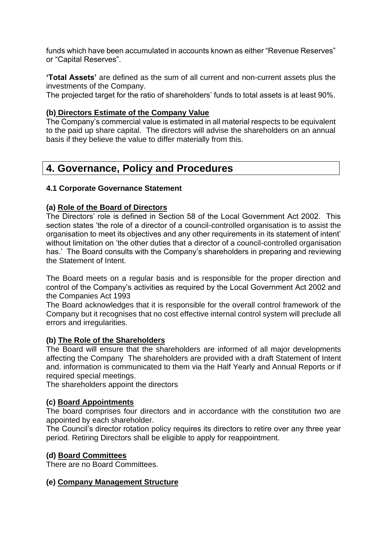funds which have been accumulated in accounts known as either "Revenue Reserves" or "Capital Reserves".

**'Total Assets'** are defined as the sum of all current and non-current assets plus the investments of the Company.

The projected target for the ratio of shareholders' funds to total assets is at least 90%.

## **(b) Directors Estimate of the Company Value**

The Company's commercial value is estimated in all material respects to be equivalent to the paid up share capital. The directors will advise the shareholders on an annual basis if they believe the value to differ materially from this.

## **4. Governance, Policy and Procedures**

## **4.1 Corporate Governance Statement**

## **(a) Role of the Board of Directors**

The Directors' role is defined in Section 58 of the Local Government Act 2002. This section states 'the role of a director of a council-controlled organisation is to assist the organisation to meet its objectives and any other requirements in its statement of intent' without limitation on 'the other duties that a director of a council-controlled organisation has.' The Board consults with the Company's shareholders in preparing and reviewing the Statement of Intent.

The Board meets on a regular basis and is responsible for the proper direction and control of the Company's activities as required by the Local Government Act 2002 and the Companies Act 1993

The Board acknowledges that it is responsible for the overall control framework of the Company but it recognises that no cost effective internal control system will preclude all errors and irregularities.

## **(b) The Role of the Shareholders**

The Board will ensure that the shareholders are informed of all major developments affecting the Company The shareholders are provided with a draft Statement of Intent and. information is communicated to them via the Half Yearly and Annual Reports or if required special meetings.

The shareholders appoint the directors

## **(c) Board Appointments**

The board comprises four directors and in accordance with the constitution two are appointed by each shareholder.

The Council's director rotation policy requires its directors to retire over any three year period. Retiring Directors shall be eligible to apply for reappointment.

## **(d) Board Committees**

There are no Board Committees.

## **(e) Company Management Structure**